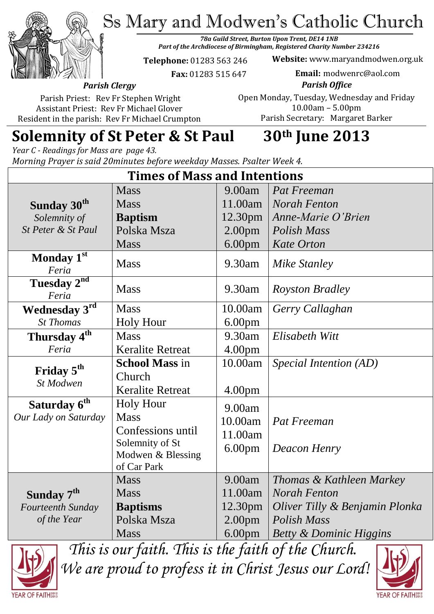Ss Mary and Modwen's Catholic Church

*78a Guild Street, Burton Upon Trent, DE14 1NB Part of the Archdiocese of Birmingham, Registered Charity Number 234216*

**Telephone:** 01283 563 246

 **Fax:** 01283 515 647

**Website:** www.maryandmodwen.org.uk **Email:** modwenrc@aol.com

*Parish Clergy* Parish Priest: Rev Fr Stephen Wright

Assistant Priest: Rev Fr Michael Glover Resident in the parish: Rev Fr Michael Crumpton

*Parish Office* Open Monday, Tuesday, Wednesday and Friday 10.00am – 5.00pm Parish Secretary:Margaret Barker

# **Solemnity of St Peter & St Paul 30th June 2013**

*Year C - Readings for Mass are page 43. Morning Prayer is said 20minutes before weekday Masses. Psalter Week 4.*

| <b>Times of Mass and Intentions</b> |                         |                    |                                    |
|-------------------------------------|-------------------------|--------------------|------------------------------------|
|                                     | <b>Mass</b>             | 9.00am             | Pat Freeman                        |
| Sunday 30 <sup>th</sup>             | <b>Mass</b>             | 11.00am            | <b>Norah Fenton</b>                |
| Solemnity of                        | <b>Baptism</b>          | 12.30pm            | Anne-Marie O'Brien                 |
| St Peter & St Paul                  | Polska Msza             | 2.00 <sub>pm</sub> | Polish Mass                        |
|                                     | <b>Mass</b>             | 6.00 <sub>pm</sub> | <b>Kate Orton</b>                  |
| Monday 1st<br>Feria                 | <b>Mass</b>             | 9.30am             | <b>Mike Stanley</b>                |
| Tuesday 2 <sup>nd</sup><br>Feria    | <b>Mass</b>             | 9.30am             | <b>Royston Bradley</b>             |
| Wednesday 3rd                       | <b>Mass</b>             | 10.00am            | Gerry Callaghan                    |
| <b>St Thomas</b>                    | <b>Holy Hour</b>        | 6.00 <sub>pm</sub> |                                    |
| Thursday 4 <sup>th</sup>            | <b>Mass</b>             | 9.30am             | Elisabeth Witt                     |
| Feria                               | <b>Keralite Retreat</b> | 4.00 <sub>pm</sub> |                                    |
| Friday 5 <sup>th</sup><br>St Modwen | <b>School Mass in</b>   | 10.00am            | Special Intention (AD)             |
|                                     | Church                  |                    |                                    |
|                                     | <b>Keralite Retreat</b> | 4.00 <sub>pm</sub> |                                    |
| Saturday 6 <sup>th</sup>            | <b>Holy Hour</b>        | 9.00am             |                                    |
| Our Lady on Saturday                | <b>Mass</b>             | 10.00am            | Pat Freeman                        |
|                                     | Confessions until       | 11.00am            |                                    |
|                                     | Solemnity of St         | 6.00 <sub>pm</sub> | Deacon Henry                       |
|                                     | Modwen & Blessing       |                    |                                    |
|                                     | of Car Park             |                    |                                    |
|                                     | <b>Mass</b>             | 9.00am             | Thomas & Kathleen Markey           |
| Sunday 7 <sup>th</sup>              | <b>Mass</b>             | 11.00am            | <b>Norah Fenton</b>                |
| Fourteenth Sunday                   | <b>Baptisms</b>         | 12.30pm            | Oliver Tilly & Benjamin Plonka     |
| of the Year                         | Polska Msza             | 2.00 <sub>pm</sub> | <b>Polish Mass</b>                 |
|                                     | <b>Mass</b>             | 6.00 <sub>pm</sub> | <b>Betty &amp; Dominic Higgins</b> |



*This is our faith. This is the faith of the Church. We are proud to profess it in Christ Jesus our Lord!*

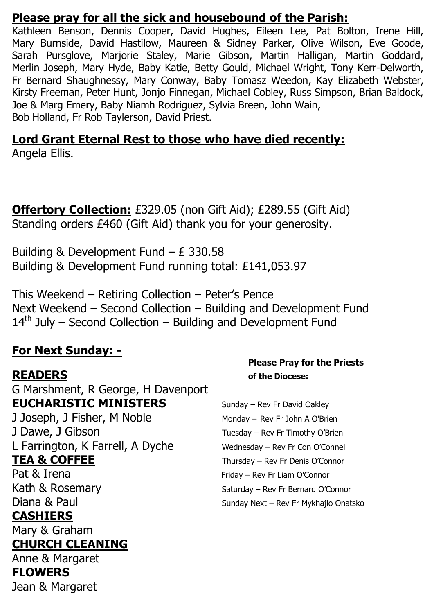#### **Please pray for all the sick and housebound of the Parish:**

Kathleen Benson, Dennis Cooper, David Hughes, Eileen Lee, Pat Bolton, Irene Hill, Mary Burnside, David Hastilow, Maureen & Sidney Parker, Olive Wilson, Eve Goode, Sarah Pursglove, Marjorie Staley, Marie Gibson, Martin Halligan, Martin Goddard, Merlin Joseph, Mary Hyde, Baby Katie, Betty Gould, Michael Wright, Tony Kerr-Delworth, Fr Bernard Shaughnessy, Mary Conway, Baby Tomasz Weedon, Kay Elizabeth Webster, Kirsty Freeman, Peter Hunt, Jonjo Finnegan, Michael Cobley, Russ Simpson, Brian Baldock, Joe & Marg Emery, Baby Niamh Rodriguez, Sylvia Breen, John Wain, Bob Holland, Fr Rob Taylerson, David Priest.

#### **Lord Grant Eternal Rest to those who have died recently:** Angela Ellis.

**Offertory Collection:** £329.05 (non Gift Aid); £289.55 (Gift Aid) Standing orders £460 (Gift Aid) thank you for your generosity.

Building & Development Fund – £ 330.58 Building & Development Fund running total: £141,053.97

This Weekend – Retiring Collection – Peter's Pence Next Weekend – Second Collection – Building and Development Fund  $14<sup>th</sup>$  July – Second Collection – Building and Development Fund

#### **For Next Sunday: -**

G Marshment, R George, H Davenport **EUCHARISTIC MINISTERS** Sunday – Rev Fr David Oakley J Joseph, J Fisher, M Noble Monday – Rev Fr John A O'Brien J Dawe, J Gibson Tuesday – Rev Fr Timothy O'Brien

L Farrington, K Farrell, A Dyche Wednesday – Rev Fr Con O'Connell **TEA & COFFEE** Thursday – Rev Fr Denis O'Connor

### **CASHIERS**

Mary & Graham

#### **CHURCH CLEANING**

Anne & Margaret

#### **FLOWERS**

Jean & Margaret

#### **Please Pray for the Priests READERS of the Diocese:**

Pat & Irena Friday – Rev Fr Liam O'Connor Kath & Rosemary Saturday – Rev Fr Bernard O'Connor Diana & Paul Sunday Next – Rev Fr Mykhajlo Onatsko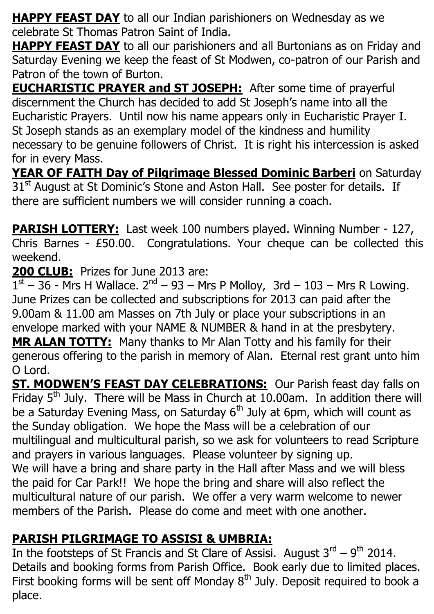**HAPPY FEAST DAY** to all our Indian parishioners on Wednesday as we celebrate St Thomas Patron Saint of India.

**HAPPY FEAST DAY** to all our parishioners and all Burtonians as on Friday and Saturday Evening we keep the feast of St Modwen, co-patron of our Parish and Patron of the town of Burton.

**EUCHARISTIC PRAYER and ST JOSEPH:** After some time of prayerful discernment the Church has decided to add St Joseph's name into all the Eucharistic Prayers. Until now his name appears only in Eucharistic Prayer I. St Joseph stands as an exemplary model of the kindness and humility necessary to be genuine followers of Christ. It is right his intercession is asked for in every Mass.

**YEAR OF FAITH Day of Pilgrimage Blessed Dominic Barberi** on Saturday 31<sup>st</sup> August at St Dominic's Stone and Aston Hall. See poster for details. If there are sufficient numbers we will consider running a coach.

**PARISH LOTTERY:** Last week 100 numbers played. Winning Number - 127, Chris Barnes - £50.00. Congratulations. Your cheque can be collected this weekend.

**200 CLUB:** Prizes for June 2013 are:

 $1<sup>st</sup> - 36$  - Mrs H Wallace.  $2<sup>nd</sup> - 93 - Mrs$  P Molloy, 3rd - 103 - Mrs R Lowing. June Prizes can be collected and subscriptions for 2013 can paid after the 9.00am & 11.00 am Masses on 7th July or place your subscriptions in an envelope marked with your NAME & NUMBER & hand in at the presbytery. **MR ALAN TOTTY:** Many thanks to Mr Alan Totty and his family for their generous offering to the parish in memory of Alan. Eternal rest grant unto him O Lord.

**ST. MODWEN'S FEAST DAY CELEBRATIONS:** Our Parish feast day falls on Friday  $5<sup>th</sup>$  July. There will be Mass in Church at 10.00am. In addition there will be a Saturday Evening Mass, on Saturday  $6<sup>th</sup>$  July at 6pm, which will count as the Sunday obligation. We hope the Mass will be a celebration of our multilingual and multicultural parish, so we ask for volunteers to read Scripture and prayers in various languages. Please volunteer by signing up. We will have a bring and share party in the Hall after Mass and we will bless the paid for Car Park!! We hope the bring and share will also reflect the multicultural nature of our parish. We offer a very warm welcome to newer members of the Parish. Please do come and meet with one another.

## **PARISH PILGRIMAGE TO ASSISI & UMBRIA:**

In the footsteps of St Francis and St Clare of Assisi. August  $3^{\text{rd}} - 9^{\text{th}}$  2014. Details and booking forms from Parish Office. Book early due to limited places. First booking forms will be sent off Monday  $8<sup>th</sup>$  July. Deposit required to book a place.